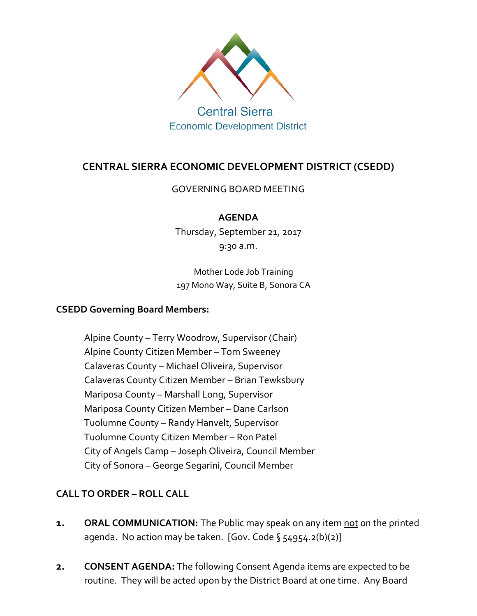

# **CENTRAL SIERRA ECONOMIC DEVELOPMENT DISTRICT (CSEDD)**

## GOVERNING BOARD MEETING

# **AGENDA**

Thursday, September 21, 2017 9:30 a.m.

Mother Lode Job Training 197 Mono Way, Suite B, Sonora CA

## **CSEDD Governing Board Members:**

Alpine County – Terry Woodrow, Supervisor (Chair) Alpine County Citizen Member – Tom Sweeney Calaveras County – Michael Oliveira, Supervisor Calaveras County Citizen Member – Brian Tewksbury Mariposa County – Marshall Long, Supervisor Mariposa County Citizen Member – Dane Carlson Tuolumne County – Randy Hanvelt, Supervisor Tuolumne County Citizen Member – Ron Patel City of Angels Camp – Joseph Oliveira, Council Member City of Sonora – George Segarini, Council Member

# **CALL TO ORDER – ROLL CALL**

- **1. ORAL COMMUNICATION:** The Public may speak on any item not on the printed agenda. No action may be taken. [Gov. Code § 54954.2(b)(2)]
- **2. CONSENT AGENDA:** The following Consent Agenda items are expected to be routine. They will be acted upon by the District Board at one time. Any Board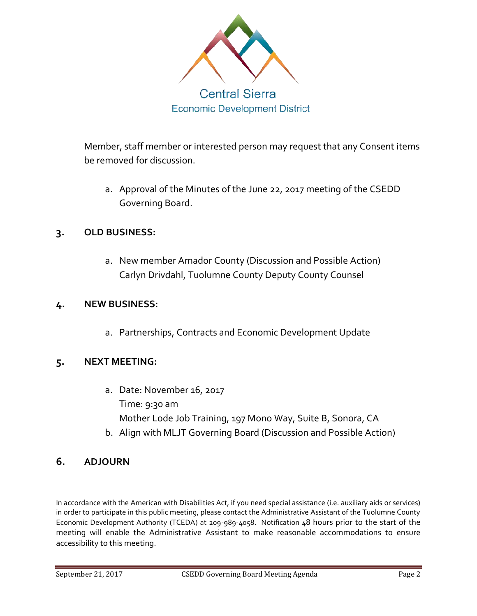

Member, staff member or interested person may request that any Consent items be removed for discussion.

a. Approval of the Minutes of the June 22, 2017 meeting of the CSEDD Governing Board.

# **3. OLD BUSINESS:**

a. New member Amador County (Discussion and Possible Action) Carlyn Drivdahl, Tuolumne County Deputy County Counsel

## **4. NEW BUSINESS:**

a. Partnerships, Contracts and Economic Development Update

# **5. NEXT MEETING:**

- a. Date: November 16, 2017 Time: 9:30 am Mother Lode Job Training, 197 Mono Way, Suite B, Sonora, CA
- b. Align with MLJT Governing Board (Discussion and Possible Action)

# **6. ADJOURN**

In accordance with the American with Disabilities Act, if you need special assistance (i.e. auxiliary aids or services) in order to participate in this public meeting, please contact the Administrative Assistant of the Tuolumne County Economic Development Authority (TCEDA) at 209-989-4058. Notification 48 hours prior to the start of the meeting will enable the Administrative Assistant to make reasonable accommodations to ensure accessibility to this meeting.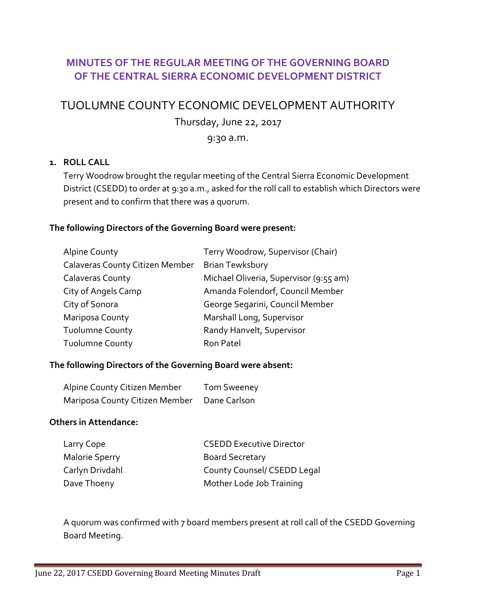# **MINUTES OF THE REGULAR MEETING OF THE GOVERNING BOARD OF THE CENTRAL SIERRA ECONOMIC DEVELOPMENT DISTRICT**

# TUOLUMNE COUNTY ECONOMIC DEVELOPMENT AUTHORITY

Thursday, June 22, 2017

### 9:30 a.m.

## **1. ROLL CALL**

Terry Woodrow brought the regular meeting of the Central Sierra Economic Development District (CSEDD) to order at 9:30 a.m., asked for the roll call to establish which Directors were present and to confirm that there was a quorum.

#### **The following Directors of the Governing Board were present:**

| <b>Alpine County</b>                   | Terry Woodrow, Supervisor (Chair)      |
|----------------------------------------|----------------------------------------|
| <b>Calaveras County Citizen Member</b> | <b>Brian Tewksbury</b>                 |
| Calaveras County                       | Michael Oliveria, Supervisor (9:55 am) |
| City of Angels Camp                    | Amanda Folendorf, Council Member       |
| City of Sonora                         | George Segarini, Council Member        |
| Mariposa County                        | Marshall Long, Supervisor              |
| <b>Tuolumne County</b>                 | Randy Hanvelt, Supervisor              |
| <b>Tuolumne County</b>                 | Ron Patel                              |

#### **The following Directors of the Governing Board were absent:**

| Alpine County Citizen Member   | <b>Tom Sweeney</b> |
|--------------------------------|--------------------|
| Mariposa County Citizen Member | Dane Carlson       |

#### **Others in Attendance:**

| <b>CSEDD Executive Director</b> |
|---------------------------------|
| <b>Board Secretary</b>          |
| County Counsel/ CSEDD Legal     |
| Mother Lode Job Training        |
|                                 |

A quorum was confirmed with 7 board members present at roll call of the CSEDD Governing Board Meeting.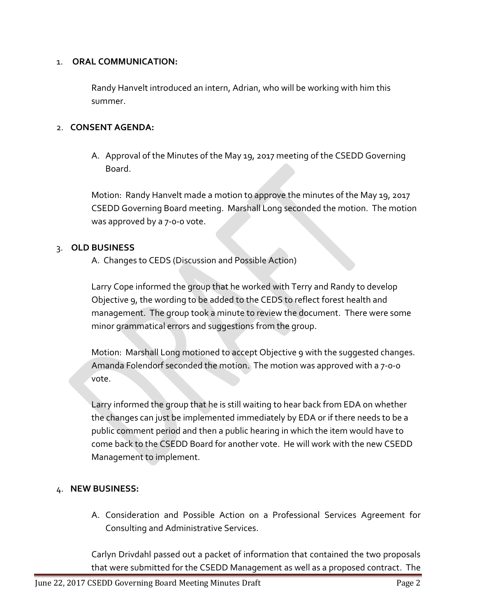#### 1. **ORAL COMMUNICATION:**

Randy Hanvelt introduced an intern, Adrian, who will be working with him this summer.

#### 2. **CONSENT AGENDA:**

A. Approval of the Minutes of the May 19, 2017 meeting of the CSEDD Governing Board.

Motion: Randy Hanvelt made a motion to approve the minutes of the May 19, 2017 CSEDD Governing Board meeting. Marshall Long seconded the motion. The motion was approved by a 7-0-0 vote.

#### 3. **OLD BUSINESS**

A. Changes to CEDS (Discussion and Possible Action)

Larry Cope informed the group that he worked with Terry and Randy to develop Objective 9, the wording to be added to the CEDS to reflect forest health and management. The group took a minute to review the document. There were some minor grammatical errors and suggestions from the group.

Motion: Marshall Long motioned to accept Objective 9 with the suggested changes. Amanda Folendorf seconded the motion. The motion was approved with a 7-0-0 vote.

Larry informed the group that he is still waiting to hear back from EDA on whether the changes can just be implemented immediately by EDA or if there needs to be a public comment period and then a public hearing in which the item would have to come back to the CSEDD Board for another vote. He will work with the new CSEDD Management to implement.

## 4. **NEW BUSINESS:**

A. Consideration and Possible Action on a Professional Services Agreement for Consulting and Administrative Services.

Carlyn Drivdahl passed out a packet of information that contained the two proposals that were submitted for the CSEDD Management as well as a proposed contract. The